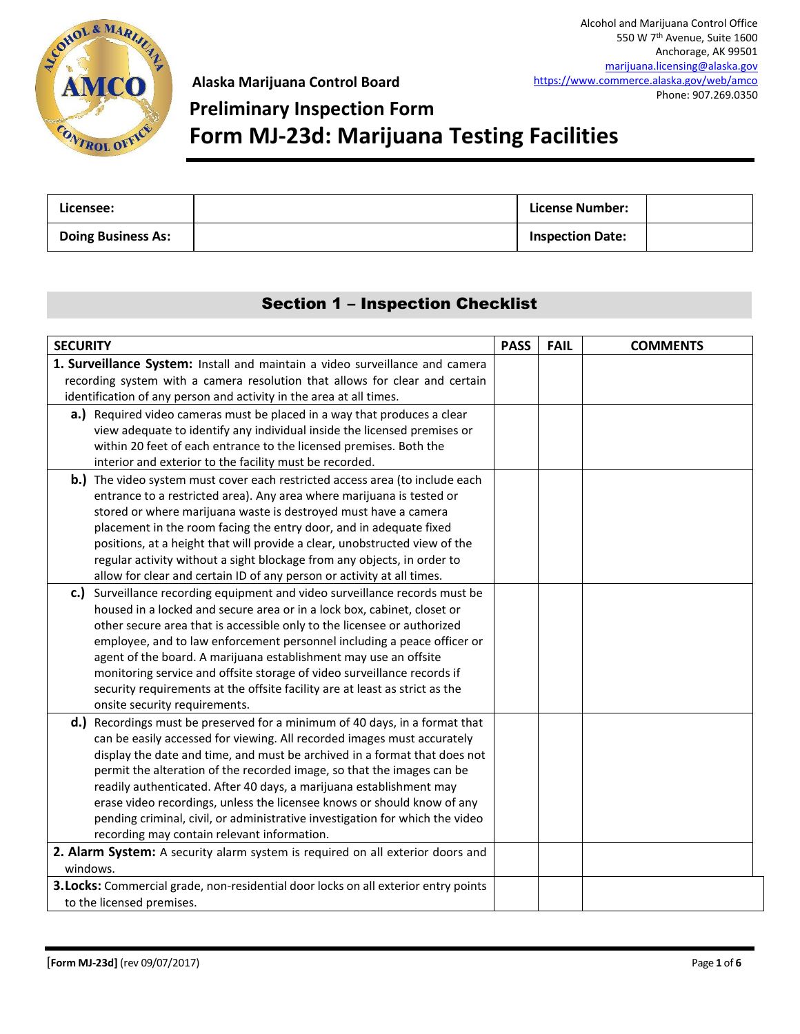

## **Preliminary Inspection Form Form MJ-23d: Marijuana Testing Facilities**

| Licensee:                 | License Number:         |  |
|---------------------------|-------------------------|--|
| <b>Doing Business As:</b> | <b>Inspection Date:</b> |  |

### Section 1 – Inspection Checklist

| <b>SECURITY</b>                                                                                                                                   | <b>PASS</b> | <b>FAIL</b> | <b>COMMENTS</b> |  |
|---------------------------------------------------------------------------------------------------------------------------------------------------|-------------|-------------|-----------------|--|
| 1. Surveillance System: Install and maintain a video surveillance and camera                                                                      |             |             |                 |  |
| recording system with a camera resolution that allows for clear and certain                                                                       |             |             |                 |  |
| identification of any person and activity in the area at all times.                                                                               |             |             |                 |  |
| a.) Required video cameras must be placed in a way that produces a clear                                                                          |             |             |                 |  |
| view adequate to identify any individual inside the licensed premises or                                                                          |             |             |                 |  |
| within 20 feet of each entrance to the licensed premises. Both the                                                                                |             |             |                 |  |
| interior and exterior to the facility must be recorded.                                                                                           |             |             |                 |  |
| <b>b.)</b> The video system must cover each restricted access area (to include each                                                               |             |             |                 |  |
| entrance to a restricted area). Any area where marijuana is tested or                                                                             |             |             |                 |  |
| stored or where marijuana waste is destroyed must have a camera                                                                                   |             |             |                 |  |
| placement in the room facing the entry door, and in adequate fixed                                                                                |             |             |                 |  |
| positions, at a height that will provide a clear, unobstructed view of the                                                                        |             |             |                 |  |
| regular activity without a sight blockage from any objects, in order to<br>allow for clear and certain ID of any person or activity at all times. |             |             |                 |  |
| c.) Surveillance recording equipment and video surveillance records must be                                                                       |             |             |                 |  |
| housed in a locked and secure area or in a lock box, cabinet, closet or                                                                           |             |             |                 |  |
| other secure area that is accessible only to the licensee or authorized                                                                           |             |             |                 |  |
| employee, and to law enforcement personnel including a peace officer or                                                                           |             |             |                 |  |
| agent of the board. A marijuana establishment may use an offsite                                                                                  |             |             |                 |  |
| monitoring service and offsite storage of video surveillance records if                                                                           |             |             |                 |  |
| security requirements at the offsite facility are at least as strict as the                                                                       |             |             |                 |  |
| onsite security requirements.                                                                                                                     |             |             |                 |  |
| d.)<br>Recordings must be preserved for a minimum of 40 days, in a format that                                                                    |             |             |                 |  |
| can be easily accessed for viewing. All recorded images must accurately                                                                           |             |             |                 |  |
| display the date and time, and must be archived in a format that does not                                                                         |             |             |                 |  |
| permit the alteration of the recorded image, so that the images can be                                                                            |             |             |                 |  |
| readily authenticated. After 40 days, a marijuana establishment may                                                                               |             |             |                 |  |
| erase video recordings, unless the licensee knows or should know of any                                                                           |             |             |                 |  |
| pending criminal, civil, or administrative investigation for which the video                                                                      |             |             |                 |  |
| recording may contain relevant information.                                                                                                       |             |             |                 |  |
| 2. Alarm System: A security alarm system is required on all exterior doors and                                                                    |             |             |                 |  |
| windows.                                                                                                                                          |             |             |                 |  |
| 3. Locks: Commercial grade, non-residential door locks on all exterior entry points                                                               |             |             |                 |  |
| to the licensed premises.                                                                                                                         |             |             |                 |  |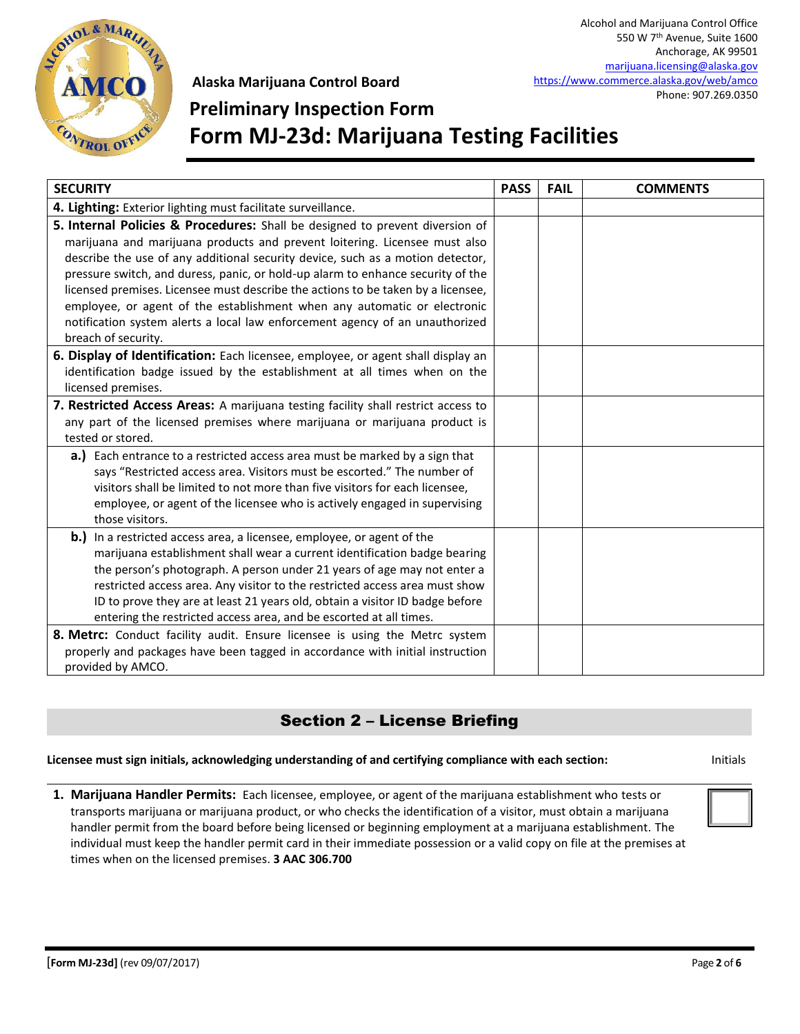

## **Preliminary Inspection Form Form MJ-23d: Marijuana Testing Facilities**

| <b>SECURITY</b>                                                                   | <b>PASS</b> | <b>FAIL</b> | <b>COMMENTS</b> |
|-----------------------------------------------------------------------------------|-------------|-------------|-----------------|
| 4. Lighting: Exterior lighting must facilitate surveillance.                      |             |             |                 |
| 5. Internal Policies & Procedures: Shall be designed to prevent diversion of      |             |             |                 |
| marijuana and marijuana products and prevent loitering. Licensee must also        |             |             |                 |
| describe the use of any additional security device, such as a motion detector,    |             |             |                 |
| pressure switch, and duress, panic, or hold-up alarm to enhance security of the   |             |             |                 |
| licensed premises. Licensee must describe the actions to be taken by a licensee,  |             |             |                 |
| employee, or agent of the establishment when any automatic or electronic          |             |             |                 |
| notification system alerts a local law enforcement agency of an unauthorized      |             |             |                 |
| breach of security.                                                               |             |             |                 |
| 6. Display of Identification: Each licensee, employee, or agent shall display an  |             |             |                 |
| identification badge issued by the establishment at all times when on the         |             |             |                 |
| licensed premises.                                                                |             |             |                 |
| 7. Restricted Access Areas: A marijuana testing facility shall restrict access to |             |             |                 |
| any part of the licensed premises where marijuana or marijuana product is         |             |             |                 |
| tested or stored.                                                                 |             |             |                 |
| a.) Each entrance to a restricted access area must be marked by a sign that       |             |             |                 |
| says "Restricted access area. Visitors must be escorted." The number of           |             |             |                 |
| visitors shall be limited to not more than five visitors for each licensee,       |             |             |                 |
| employee, or agent of the licensee who is actively engaged in supervising         |             |             |                 |
| those visitors.                                                                   |             |             |                 |
| <b>b.)</b> In a restricted access area, a licensee, employee, or agent of the     |             |             |                 |
| marijuana establishment shall wear a current identification badge bearing         |             |             |                 |
| the person's photograph. A person under 21 years of age may not enter a           |             |             |                 |
| restricted access area. Any visitor to the restricted access area must show       |             |             |                 |
| ID to prove they are at least 21 years old, obtain a visitor ID badge before      |             |             |                 |
| entering the restricted access area, and be escorted at all times.                |             |             |                 |
| 8. Metrc: Conduct facility audit. Ensure licensee is using the Metrc system       |             |             |                 |
| properly and packages have been tagged in accordance with initial instruction     |             |             |                 |
| provided by AMCO.                                                                 |             |             |                 |

### Section 2 – License Briefing

#### **Licensee must sign initials, acknowledging understanding of and certifying compliance with each section:** Initials

**1. Marijuana Handler Permits:** Each licensee, employee, or agent of the marijuana establishment who tests or transports marijuana or marijuana product, or who checks the identification of a visitor, must obtain a marijuana handler permit from the board before being licensed or beginning employment at a marijuana establishment. The individual must keep the handler permit card in their immediate possession or a valid copy on file at the premises at times when on the licensed premises. **3 AAC 306.700**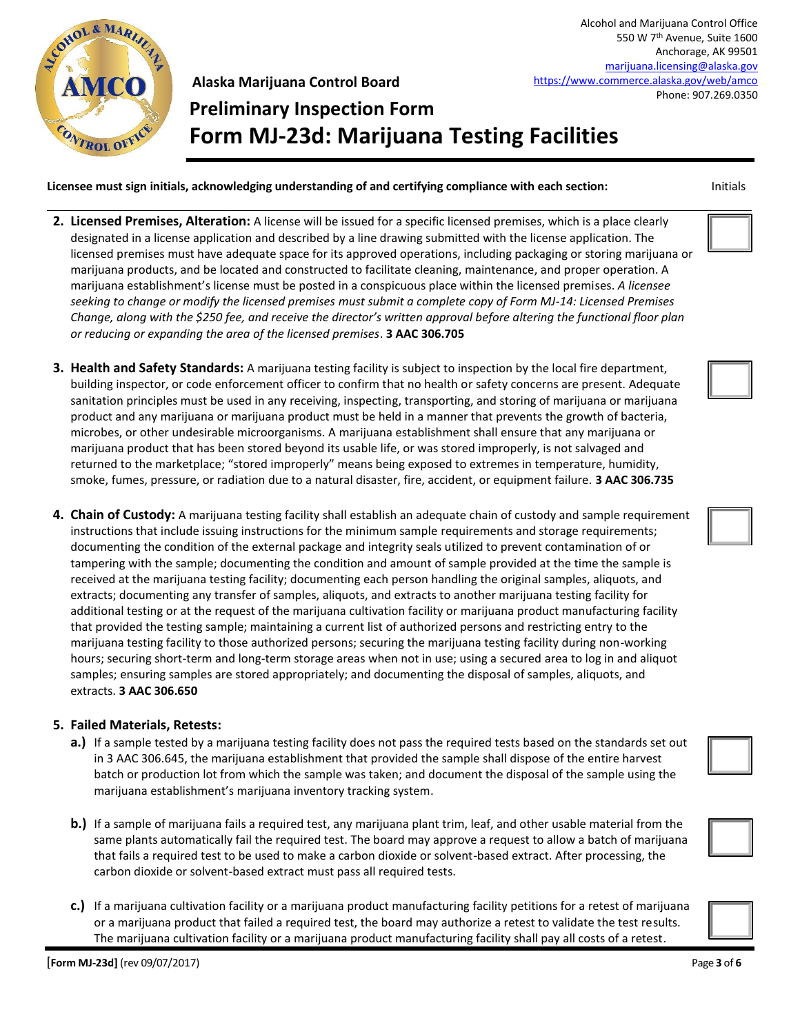

Alcohol and Marijuana Control Office 550 W 7th Avenue, Suite 1600 Anchorage, AK 99501 [marijuana.licensing@alaska.gov](mailto:marijuana.licensing@alaska.gov) <https://www.commerce.alaska.gov/web/amco> Phone: 907.269.0350

### **Alaska Marijuana Control Board Preliminary Inspection Form Form MJ-23d: Marijuana Testing Facilities**

**Licensee must sign initials, acknowledging understanding of and certifying compliance with each section:** Initials

- **2. Licensed Premises, Alteration:** A license will be issued for a specific licensed premises, which is a place clearly designated in a license application and described by a line drawing submitted with the license application. The licensed premises must have adequate space for its approved operations, including packaging or storing marijuana or marijuana products, and be located and constructed to facilitate cleaning, maintenance, and proper operation. A marijuana establishment's license must be posted in a conspicuous place within the licensed premises. *A licensee seeking to change or modify the licensed premises must submit a complete copy of Form MJ-14: Licensed Premises Change, along with the \$250 fee, and receive the director's written approval before altering the functional floor plan or reducing or expanding the area of the licensed premises*. **3 AAC 306.705**
- **3. Health and Safety Standards:** A marijuana testing facility is subject to inspection by the local fire department, building inspector, or code enforcement officer to confirm that no health or safety concerns are present. Adequate sanitation principles must be used in any receiving, inspecting, transporting, and storing of marijuana or marijuana product and any marijuana or marijuana product must be held in a manner that prevents the growth of bacteria, microbes, or other undesirable microorganisms. A marijuana establishment shall ensure that any marijuana or marijuana product that has been stored beyond its usable life, or was stored improperly, is not salvaged and returned to the marketplace; "stored improperly" means being exposed to extremes in temperature, humidity, smoke, fumes, pressure, or radiation due to a natural disaster, fire, accident, or equipment failure. **3 AAC 306.735**
- **4. Chain of Custody:** A marijuana testing facility shall establish an adequate chain of custody and sample requirement instructions that include issuing instructions for the minimum sample requirements and storage requirements; documenting the condition of the external package and integrity seals utilized to prevent contamination of or tampering with the sample; documenting the condition and amount of sample provided at the time the sample is received at the marijuana testing facility; documenting each person handling the original samples, aliquots, and extracts; documenting any transfer of samples, aliquots, and extracts to another marijuana testing facility for additional testing or at the request of the marijuana cultivation facility or marijuana product manufacturing facility that provided the testing sample; maintaining a current list of authorized persons and restricting entry to the marijuana testing facility to those authorized persons; securing the marijuana testing facility during non-working hours; securing short-term and long-term storage areas when not in use; using a secured area to log in and aliquot samples; ensuring samples are stored appropriately; and documenting the disposal of samples, aliquots, and extracts. **3 AAC 306.650**

#### **5. Failed Materials, Retests:**

- **a.)** If a sample tested by a marijuana testing facility does not pass the required tests based on the standards set out in 3 AAC 306.645, the marijuana establishment that provided the sample shall dispose of the entire harvest batch or production lot from which the sample was taken; and document the disposal of the sample using the marijuana establishment's marijuana inventory tracking system.
- **b.)** If a sample of marijuana fails a required test, any marijuana plant trim, leaf, and other usable material from the same plants automatically fail the required test. The board may approve a request to allow a batch of marijuana that fails a required test to be used to make a carbon dioxide or solvent-based extract. After processing, the carbon dioxide or solvent-based extract must pass all required tests.
- **c.)** If a marijuana cultivation facility or a marijuana product manufacturing facility petitions for a retest of marijuana or a marijuana product that failed a required test, the board may authorize a retest to validate the test results. The marijuana cultivation facility or a marijuana product manufacturing facility shall pay all costs of a retest.









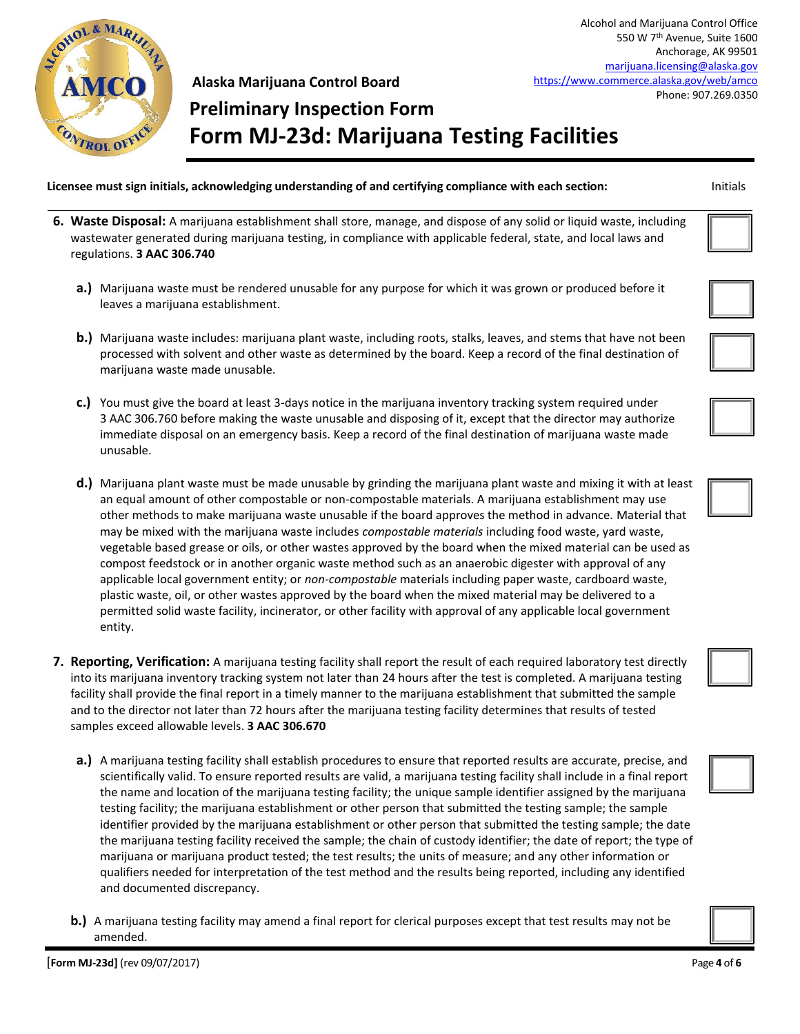

# **Preliminary Inspection Form Form MJ-23d: Marijuana Testing Facilities**

#### **Licensee must sign initials, acknowledging understanding of and certifying compliance with each section:** Initials

- **6. Waste Disposal:** A marijuana establishment shall store, manage, and dispose of any solid or liquid waste, including wastewater generated during marijuana testing, in compliance with applicable federal, state, and local laws and regulations. **3 AAC 306.740**
	- **a.)** Marijuana waste must be rendered unusable for any purpose for which it was grown or produced before it leaves a marijuana establishment.
	- **b.)** Marijuana waste includes: marijuana plant waste, including roots, stalks, leaves, and stems that have not been processed with solvent and other waste as determined by the board. Keep a record of the final destination of marijuana waste made unusable.
	- **c.)** You must give the board at least 3-days notice in the marijuana inventory tracking system required under 3 AAC 306.760 before making the waste unusable and disposing of it, except that the director may authorize immediate disposal on an emergency basis. Keep a record of the final destination of marijuana waste made unusable.
	- **d.)** Marijuana plant waste must be made unusable by grinding the marijuana plant waste and mixing it with at least an equal amount of other compostable or non-compostable materials. A marijuana establishment may use other methods to make marijuana waste unusable if the board approves the method in advance. Material that may be mixed with the marijuana waste includes *compostable materials* including food waste, yard waste, vegetable based grease or oils, or other wastes approved by the board when the mixed material can be used as compost feedstock or in another organic waste method such as an anaerobic digester with approval of any applicable local government entity; or *non-compostable* materials including paper waste, cardboard waste, plastic waste, oil, or other wastes approved by the board when the mixed material may be delivered to a permitted solid waste facility, incinerator, or other facility with approval of any applicable local government entity.
- **7. Reporting, Verification:** A marijuana testing facility shall report the result of each required laboratory test directly into its marijuana inventory tracking system not later than 24 hours after the test is completed. A marijuana testing facility shall provide the final report in a timely manner to the marijuana establishment that submitted the sample and to the director not later than 72 hours after the marijuana testing facility determines that results of tested samples exceed allowable levels. **3 AAC 306.670**
	- **a.)** A marijuana testing facility shall establish procedures to ensure that reported results are accurate, precise, and scientifically valid. To ensure reported results are valid, a marijuana testing facility shall include in a final report the name and location of the marijuana testing facility; the unique sample identifier assigned by the marijuana testing facility; the marijuana establishment or other person that submitted the testing sample; the sample identifier provided by the marijuana establishment or other person that submitted the testing sample; the date the marijuana testing facility received the sample; the chain of custody identifier; the date of report; the type of marijuana or marijuana product tested; the test results; the units of measure; and any other information or qualifiers needed for interpretation of the test method and the results being reported, including any identified and documented discrepancy.
	- **b.)** A marijuana testing facility may amend a final report for clerical purposes except that test results may not be amended.

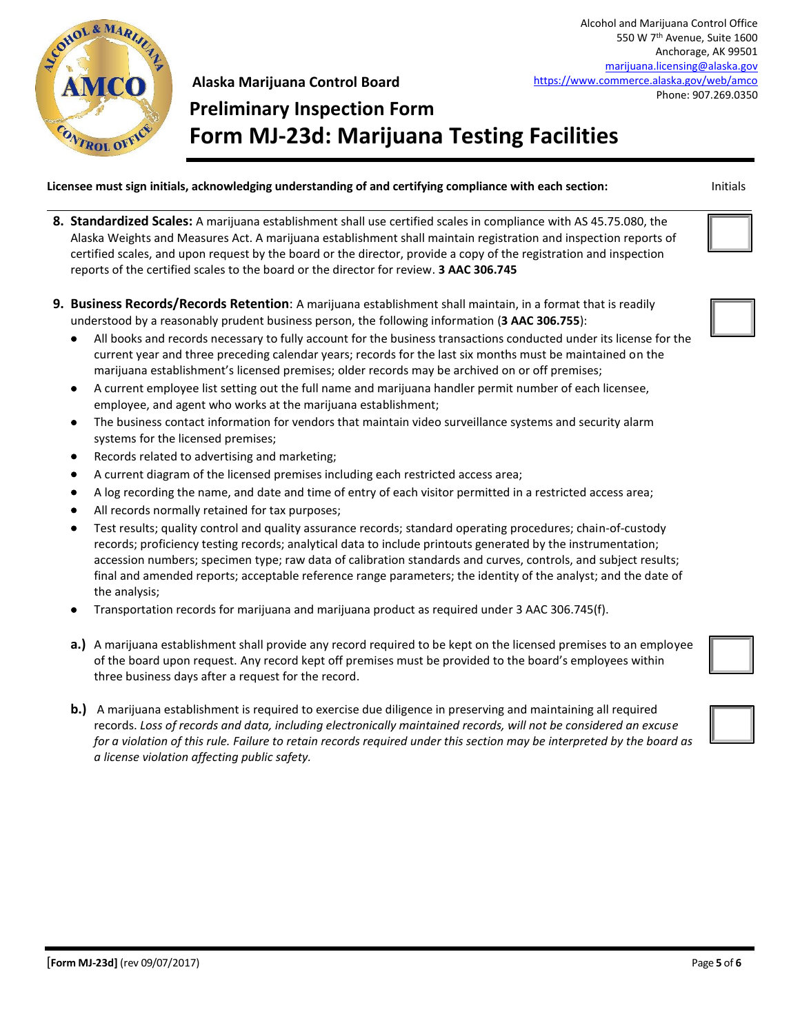

# **Preliminary Inspection Form Form MJ-23d: Marijuana Testing Facilities**

**Licensee must sign initials, acknowledging understanding of and certifying compliance with each section:** Initials

- **8. Standardized Scales:** A marijuana establishment shall use certified scales in compliance with AS 45.75.080, the Alaska Weights and Measures Act. A marijuana establishment shall maintain registration and inspection reports of certified scales, and upon request by the board or the director, provide a copy of the registration and inspection reports of the certified scales to the board or the director for review. **3 AAC 306.745**
- **9. Business Records/Records Retention**: A marijuana establishment shall maintain, in a format that is readily understood by a reasonably prudent business person, the following information (**3 AAC 306.755**):
	- All books and records necessary to fully account for the business transactions conducted under its license for the current year and three preceding calendar years; records for the last six months must be maintained on the marijuana establishment's licensed premises; older records may be archived on or off premises;
	- A current employee list setting out the full name and marijuana handler permit number of each licensee, employee, and agent who works at the marijuana establishment;
	- The business contact information for vendors that maintain video surveillance systems and security alarm systems for the licensed premises;
	- Records related to advertising and marketing;
	- A current diagram of the licensed premises including each restricted access area;
	- A log recording the name, and date and time of entry of each visitor permitted in a restricted access area;
	- All records normally retained for tax purposes;
	- Test results; quality control and quality assurance records; standard operating procedures; chain-of-custody records; proficiency testing records; analytical data to include printouts generated by the instrumentation; accession numbers; specimen type; raw data of calibration standards and curves, controls, and subject results; final and amended reports; acceptable reference range parameters; the identity of the analyst; and the date of the analysis;
	- Transportation records for marijuana and marijuana product as required under 3 AAC 306.745(f).
	- **a.)** A marijuana establishment shall provide any record required to be kept on the licensed premises to an employee of the board upon request. Any record kept off premises must be provided to the board's employees within three business days after a request for the record.
	- **b.)** A marijuana establishment is required to exercise due diligence in preserving and maintaining all required records. *Loss of records and data, including electronically maintained records, will not be considered an excuse for a violation of this rule. Failure to retain records required under this section may be interpreted by the board as a license violation affecting public safety.*